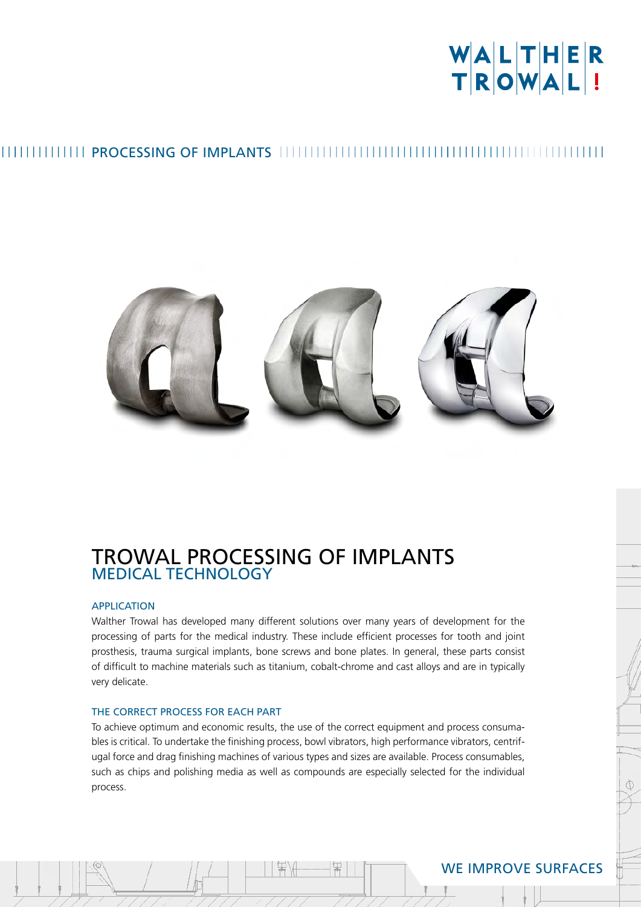# WALTHER<br>TROWAL!

### THEFFETHER PROCESSING OF IMPLANTS THEFFETHER IN THEFFETHER IN THE THEFFETHER



#### TROWAL PROCESSING OF IMPLANTS MEDICAL TECHNOLOGY

#### APPLICATION

Walther Trowal has developed many different solutions over many years of development for the processing of parts for the medical industry. These include efficient processes for tooth and joint prosthesis, trauma surgical implants, bone screws and bone plates. In general, these parts consist of difficult to machine materials such as titanium, cobalt-chrome and cast alloys and are in typically very delicate.

#### THE CORRECT PROCESS FOR EACH PART

To achieve optimum and economic results, the use of the correct equipment and process consumables is critical. To undertake the finishing process, bowl vibrators, high performance vibrators, centrifugal force and drag finishing machines of various types and sizes are available. Process consumables, such as chips and polishing media as well as compounds are especially selected for the individual process.

#### WE IMPROVE SURFACES